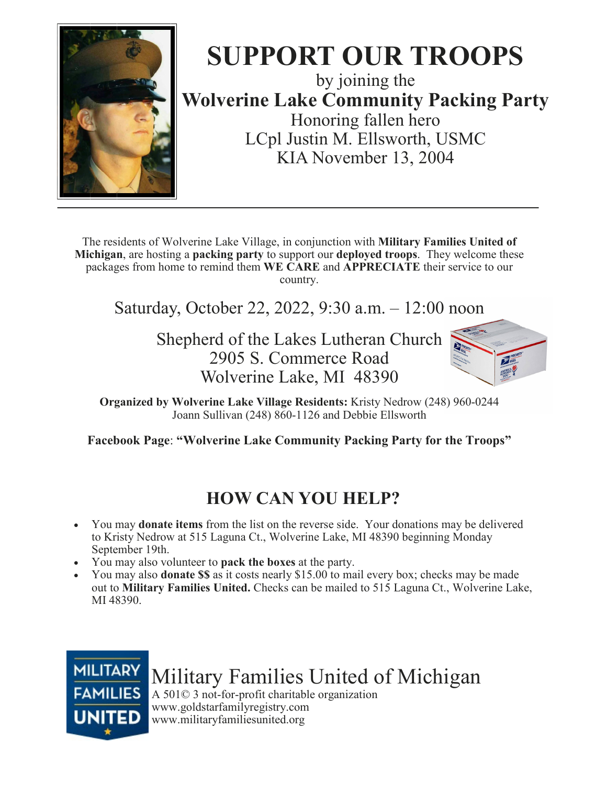

## SUPPORT OUR TROOPS by joining the

Wolverine Lake Community Packing Party Honoring fallen hero LCpl Justin M. Ellsworth, USMC KIA November 13, 2004

The residents of Wolverine Lake Village, in conjunction with Military Families United of Michigan, are hosting a packing party to support our deployed troops. They welcome these packages from home to remind them WE CARE and APPRECIATE their service to our country.

Saturday, October 22, 2022, 9:30 a.m. – 12:00 noon

Shepherd of the Lakes Lutheran Church 2905 S. Commerce Road Wolverine Lake, MI 48390



Organized by Wolverine Lake Village Residents: Kristy Nedrow (248) 960-0244 Joann Sullivan (248) 860-1126 and Debbie Ellsworth

Facebook Page: "Wolverine Lake Community Packing Party for the Troops"

## HOW CAN YOU HELP?

- You may donate items from the list on the reverse side. Your donations may be delivered to Kristy Nedrow at 515 Laguna Ct., Wolverine Lake, MI 48390 beginning Monday September 19th.
- You may also volunteer to pack the boxes at the party.
- You may also **donate \$\$** as it costs nearly \$15.00 to mail every box; checks may be made out to Military Families United. Checks can be mailed to 515 Laguna Ct., Wolverine Lake, MI 48390.



Military Families United of Michigan

A 501© 3 not-for-profit charitable organization www.goldstarfamilyregistry.com www.militaryfamiliesunited.org